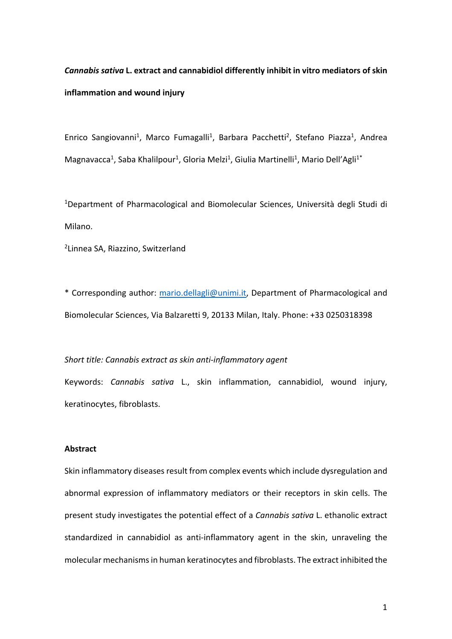*Cannabis sativa* **L. extract and cannabidiol differently inhibit in vitro mediators of skin inflammation and wound injury** 

Enrico Sangiovanni<sup>1</sup>, Marco Fumagalli<sup>1</sup>, Barbara Pacchetti<sup>2</sup>, Stefano Piazza<sup>1</sup>, Andrea Magnavacca<sup>1</sup>, Saba Khalilpour<sup>1</sup>, Gloria Melzi<sup>1</sup>, Giulia Martinelli<sup>1</sup>, Mario Dell'Agli<sup>1\*</sup>

<sup>1</sup>Department of Pharmacological and Biomolecular Sciences, Università degli Studi di Milano.

2 Linnea SA, Riazzino, Switzerland

\* Corresponding author: mario.dellagli@unimi.it, Department of Pharmacological and Biomolecular Sciences, Via Balzaretti 9, 20133 Milan, Italy. Phone: +33 0250318398

*Short title: Cannabis extract as skin anti-inflammatory agent*

Keywords: *Cannabis sativa* L., skin inflammation, cannabidiol, wound injury, keratinocytes, fibroblasts.

### **Abstract**

Skin inflammatory diseases result from complex events which include dysregulation and abnormal expression of inflammatory mediators or their receptors in skin cells. The present study investigates the potential effect of a *Cannabis sativa* L. ethanolic extract standardized in cannabidiol as anti-inflammatory agent in the skin, unraveling the molecular mechanisms in human keratinocytes and fibroblasts. The extract inhibited the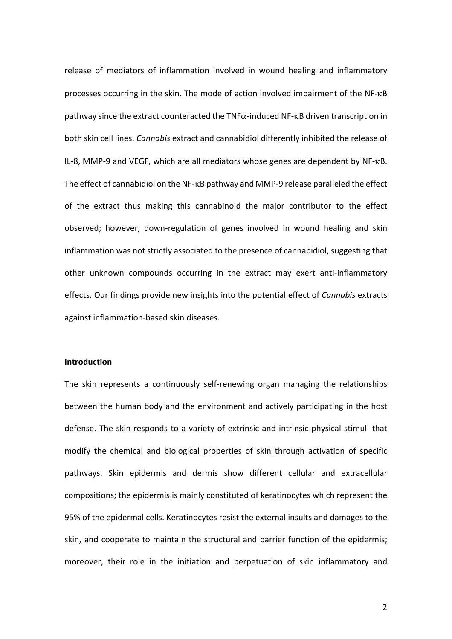release of mediators of inflammation involved in wound healing and inflammatory processes occurring in the skin. The mode of action involved impairment of the NF-kB pathway since the extract counteracted the TNF $\alpha$ -induced NF- $\kappa$ B driven transcription in both skin cell lines. *Cannabis* extract and cannabidiol differently inhibited the release of IL-8, MMP-9 and VEGF, which are all mediators whose genes are dependent by NF-kB. The effect of cannabidiol on the NF-kB pathway and MMP-9 release paralleled the effect of the extract thus making this cannabinoid the major contributor to the effect observed; however, down-regulation of genes involved in wound healing and skin inflammation was not strictly associated to the presence of cannabidiol, suggesting that other unknown compounds occurring in the extract may exert anti-inflammatory effects. Our findings provide new insights into the potential effect of *Cannabis* extracts against inflammation-based skin diseases.

#### **Introduction**

The skin represents a continuously self-renewing organ managing the relationships between the human body and the environment and actively participating in the host defense. The skin responds to a variety of extrinsic and intrinsic physical stimuli that modify the chemical and biological properties of skin through activation of specific pathways. Skin epidermis and dermis show different cellular and extracellular compositions; the epidermis is mainly constituted of keratinocytes which represent the 95% of the epidermal cells. Keratinocytes resist the external insults and damages to the skin, and cooperate to maintain the structural and barrier function of the epidermis; moreover, their role in the initiation and perpetuation of skin inflammatory and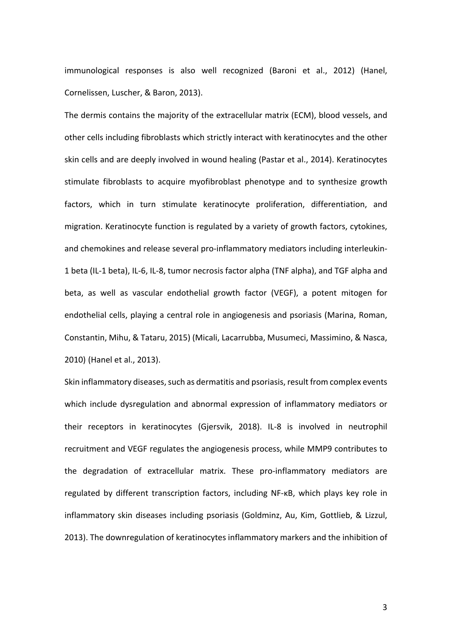immunological responses is also well recognized (Baroni et al., 2012) (Hanel, Cornelissen, Luscher, & Baron, 2013).

The dermis contains the majority of the extracellular matrix (ECM), blood vessels, and other cells including fibroblasts which strictly interact with keratinocytes and the other skin cells and are deeply involved in wound healing (Pastar et al., 2014). Keratinocytes stimulate fibroblasts to acquire myofibroblast phenotype and to synthesize growth factors, which in turn stimulate keratinocyte proliferation, differentiation, and migration. Keratinocyte function is regulated by a variety of growth factors, cytokines, and chemokines and release several pro-inflammatory mediators including interleukin-1 beta (IL-1 beta), IL-6, IL-8, tumor necrosis factor alpha (TNF alpha), and TGF alpha and beta, as well as vascular endothelial growth factor (VEGF), a potent mitogen for endothelial cells, playing a central role in angiogenesis and psoriasis (Marina, Roman, Constantin, Mihu, & Tataru, 2015) (Micali, Lacarrubba, Musumeci, Massimino, & Nasca, 2010) (Hanel et al., 2013).

Skin inflammatory diseases, such as dermatitis and psoriasis, result from complex events which include dysregulation and abnormal expression of inflammatory mediators or their receptors in keratinocytes (Gjersvik, 2018). IL-8 is involved in neutrophil recruitment and VEGF regulates the angiogenesis process, while MMP9 contributes to the degradation of extracellular matrix. These pro-inflammatory mediators are regulated by different transcription factors, including NF-κB, which plays key role in inflammatory skin diseases including psoriasis (Goldminz, Au, Kim, Gottlieb, & Lizzul, 2013). The downregulation of keratinocytes inflammatory markers and the inhibition of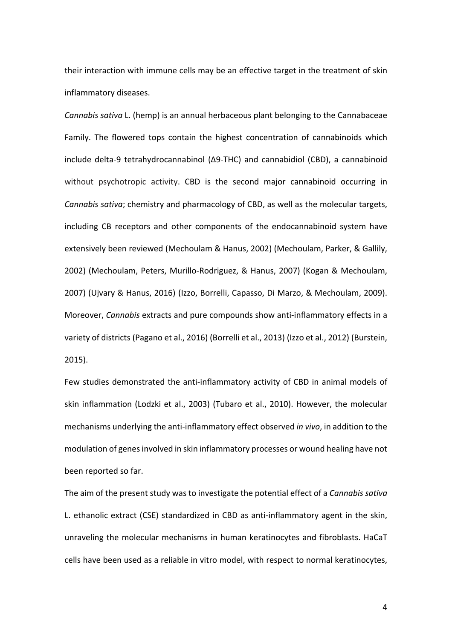their interaction with immune cells may be an effective target in the treatment of skin inflammatory diseases.

*Cannabis sativa* L. (hemp) is an annual herbaceous plant belonging to the Cannabaceae Family. The flowered tops contain the highest concentration of cannabinoids which include delta-9 tetrahydrocannabinol (Δ9-THC) and cannabidiol (CBD), a cannabinoid without psychotropic activity. CBD is the second major cannabinoid occurring in *Cannabis sativa*; chemistry and pharmacology of CBD, as well as the molecular targets, including CB receptors and other components of the endocannabinoid system have extensively been reviewed (Mechoulam & Hanus, 2002) (Mechoulam, Parker, & Gallily, 2002) (Mechoulam, Peters, Murillo-Rodriguez, & Hanus, 2007) (Kogan & Mechoulam, 2007) (Ujvary & Hanus, 2016) (Izzo, Borrelli, Capasso, Di Marzo, & Mechoulam, 2009). Moreover, *Cannabis* extracts and pure compounds show anti-inflammatory effects in a variety of districts (Pagano et al., 2016) (Borrelli et al., 2013) (Izzo et al., 2012) (Burstein, 2015).

Few studies demonstrated the anti-inflammatory activity of CBD in animal models of skin inflammation (Lodzki et al., 2003) (Tubaro et al., 2010). However, the molecular mechanisms underlying the anti-inflammatory effect observed *in vivo*, in addition to the modulation of genes involved in skin inflammatory processes or wound healing have not been reported so far.

The aim of the present study was to investigate the potential effect of a *Cannabis sativa* L. ethanolic extract (CSE) standardized in CBD as anti-inflammatory agent in the skin, unraveling the molecular mechanisms in human keratinocytes and fibroblasts. HaCaT cells have been used as a reliable in vitro model, with respect to normal keratinocytes,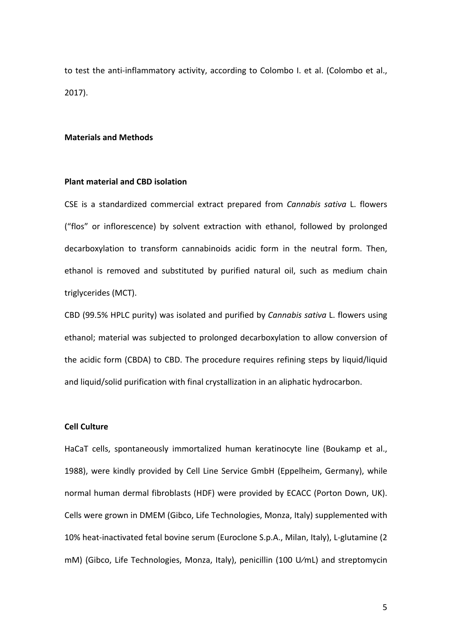to test the anti-inflammatory activity, according to Colombo I. et al. (Colombo et al., 2017).

#### **Materials and Methods**

### **Plant material and CBD isolation**

CSE is a standardized commercial extract prepared from *Cannabis sativa* L. flowers ("flos" or inflorescence) by solvent extraction with ethanol, followed by prolonged decarboxylation to transform cannabinoids acidic form in the neutral form. Then, ethanol is removed and substituted by purified natural oil, such as medium chain triglycerides (MCT).

CBD (99.5% HPLC purity) was isolated and purified by *Cannabis sativa* L. flowers using ethanol; material was subjected to prolonged decarboxylation to allow conversion of the acidic form (CBDA) to CBD. The procedure requires refining steps by liquid/liquid and liquid/solid purification with final crystallization in an aliphatic hydrocarbon.

### **Cell Culture**

HaCaT cells, spontaneously immortalized human keratinocyte line (Boukamp et al., 1988), were kindly provided by Cell Line Service GmbH (Eppelheim, Germany), while normal human dermal fibroblasts (HDF) were provided by ECACC (Porton Down, UK). Cells were grown in DMEM (Gibco, Life Technologies, Monza, Italy) supplemented with 10% heat-inactivated fetal bovine serum (Euroclone S.p.A., Milan, Italy), L-glutamine (2 mM) (Gibco, Life Technologies, Monza, Italy), penicillin (100 U⁄mL) and streptomycin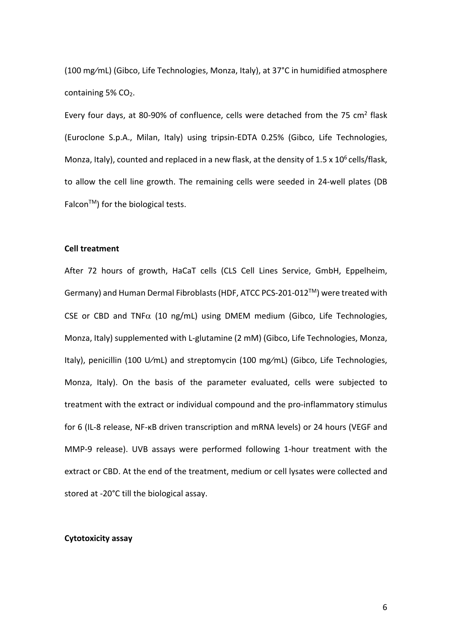(100 mg⁄mL) (Gibco, Life Technologies, Monza, Italy), at 37°C in humidified atmosphere containing 5% CO<sub>2</sub>.

Every four days, at 80-90% of confluence, cells were detached from the 75 cm<sup>2</sup> flask (Euroclone S.p.A., Milan, Italy) using tripsin-EDTA 0.25% (Gibco, Life Technologies, Monza, Italy), counted and replaced in a new flask, at the density of  $1.5 \times 10^6$  cells/flask, to allow the cell line growth. The remaining cells were seeded in 24-well plates (DB  $Falcon<sup>TM</sup>$  for the biological tests.

#### **Cell treatment**

After 72 hours of growth, HaCaT cells (CLS Cell Lines Service, GmbH, Eppelheim, Germany) and Human Dermal Fibroblasts (HDF, ATCC PCS-201-012TM) were treated with CSE or CBD and TNF $\alpha$  (10 ng/mL) using DMEM medium (Gibco, Life Technologies, Monza, Italy) supplemented with L-glutamine (2 mM) (Gibco, Life Technologies, Monza, Italy), penicillin (100 U⁄mL) and streptomycin (100 mg⁄mL) (Gibco, Life Technologies, Monza, Italy). On the basis of the parameter evaluated, cells were subjected to treatment with the extract or individual compound and the pro-inflammatory stimulus for 6 (IL-8 release, NF-κB driven transcription and mRNA levels) or 24 hours (VEGF and MMP-9 release). UVB assays were performed following 1-hour treatment with the extract or CBD. At the end of the treatment, medium or cell lysates were collected and stored at -20°C till the biological assay.

#### **Cytotoxicity assay**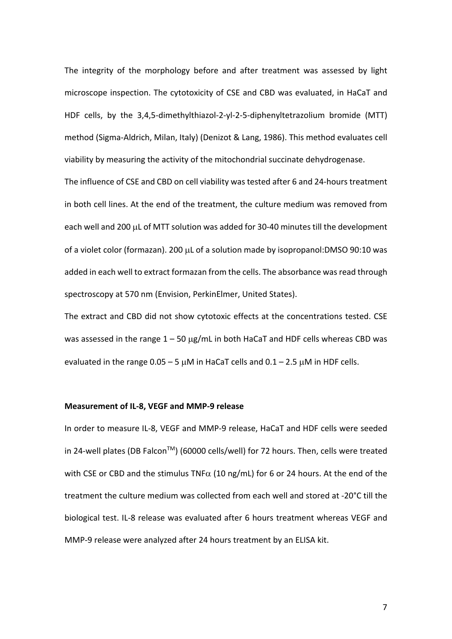The integrity of the morphology before and after treatment was assessed by light microscope inspection. The cytotoxicity of CSE and CBD was evaluated, in HaCaT and HDF cells, by the 3,4,5-dimethylthiazol-2-yl-2-5-diphenyltetrazolium bromide (MTT) method (Sigma-Aldrich, Milan, Italy) (Denizot & Lang, 1986). This method evaluates cell viability by measuring the activity of the mitochondrial succinate dehydrogenase.

The influence of CSE and CBD on cell viability was tested after 6 and 24-hours treatment in both cell lines. At the end of the treatment, the culture medium was removed from each well and 200 µL of MTT solution was added for 30-40 minutes till the development of a violet color (formazan). 200 µL of a solution made by isopropanol:DMSO 90:10 was added in each well to extract formazan from the cells. The absorbance was read through spectroscopy at 570 nm (Envision, PerkinElmer, United States).

The extract and CBD did not show cytotoxic effects at the concentrations tested. CSE was assessed in the range  $1 - 50 \mu g/mL$  in both HaCaT and HDF cells whereas CBD was evaluated in the range  $0.05 - 5 \mu M$  in HaCaT cells and  $0.1 - 2.5 \mu M$  in HDF cells.

#### **Measurement of IL-8, VEGF and MMP-9 release**

In order to measure IL-8, VEGF and MMP-9 release, HaCaT and HDF cells were seeded in 24-well plates (DB Falcon™) (60000 cells/well) for 72 hours. Then, cells were treated with CSE or CBD and the stimulus TNF $\alpha$  (10 ng/mL) for 6 or 24 hours. At the end of the treatment the culture medium was collected from each well and stored at -20°C till the biological test. IL-8 release was evaluated after 6 hours treatment whereas VEGF and MMP-9 release were analyzed after 24 hours treatment by an ELISA kit.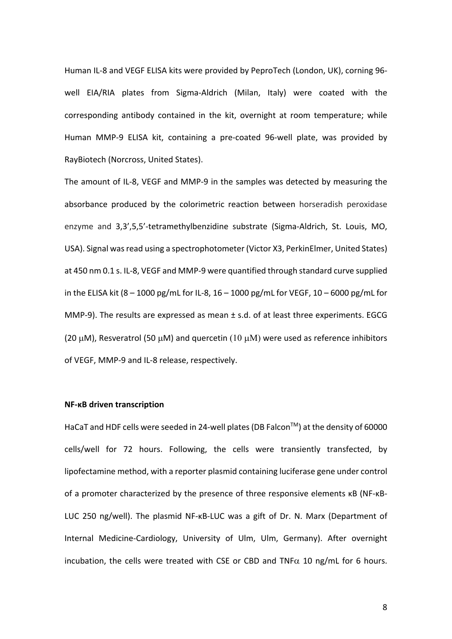Human IL-8 and VEGF ELISA kits were provided by PeproTech (London, UK), corning 96 well EIA/RIA plates from Sigma-Aldrich (Milan, Italy) were coated with the corresponding antibody contained in the kit, overnight at room temperature; while Human MMP-9 ELISA kit, containing a pre-coated 96-well plate, was provided by RayBiotech (Norcross, United States).

The amount of IL-8, VEGF and MMP-9 in the samples was detected by measuring the absorbance produced by the colorimetric reaction between horseradish peroxidase enzyme and 3,3',5,5'-tetramethylbenzidine substrate (Sigma-Aldrich, St. Louis, MO, USA). Signal was read using a spectrophotometer (Victor X3, PerkinElmer, United States) at 450 nm 0.1 s. IL-8, VEGF and MMP-9 were quantified through standard curve supplied in the ELISA kit (8 – 1000 pg/mL for IL-8, 16 – 1000 pg/mL for VEGF, 10 – 6000 pg/mL for MMP-9). The results are expressed as mean ± s.d. of at least three experiments. EGCG (20  $\mu$ M), Resveratrol (50  $\mu$ M) and quercetin (10  $\mu$ M) were used as reference inhibitors of VEGF, MMP-9 and IL-8 release, respectively.

#### **NF-κB driven transcription**

HaCaT and HDF cells were seeded in 24-well plates (DB Falcon™) at the density of 60000 cells/well for 72 hours. Following, the cells were transiently transfected, by lipofectamine method, with a reporter plasmid containing luciferase gene under control of a promoter characterized by the presence of three responsive elements κB (NF-κB-LUC 250 ng/well). The plasmid NF-κB-LUC was a gift of Dr. N. Marx (Department of Internal Medicine-Cardiology, University of Ulm, Ulm, Germany). After overnight incubation, the cells were treated with CSE or CBD and TNF $\alpha$  10 ng/mL for 6 hours.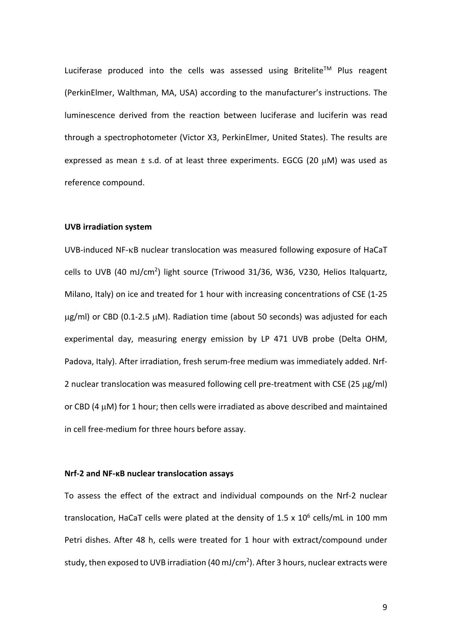Luciferase produced into the cells was assessed using Britelite™ Plus reagent (PerkinElmer, Walthman, MA, USA) according to the manufacturer's instructions. The luminescence derived from the reaction between luciferase and luciferin was read through a spectrophotometer (Victor X3, PerkinElmer, United States). The results are expressed as mean  $\pm$  s.d. of at least three experiments. EGCG (20  $\mu$ M) was used as reference compound.

#### **UVB irradiation system**

UVB-induced NF-kB nuclear translocation was measured following exposure of HaCaT cells to UVB (40 mJ/cm<sup>2</sup>) light source (Triwood 31/36, W36, V230, Helios Italquartz, Milano, Italy) on ice and treated for 1 hour with increasing concentrations of CSE (1-25 µg/ml) or CBD (0.1-2.5 µM). Radiation time (about 50 seconds) was adjusted for each experimental day, measuring energy emission by LP 471 UVB probe (Delta OHM, Padova, Italy). After irradiation, fresh serum-free medium was immediately added. Nrf-2 nuclear translocation was measured following cell pre-treatment with CSE (25 µg/ml) or CBD (4 µM) for 1 hour; then cells were irradiated as above described and maintained in cell free-medium for three hours before assay.

#### **Nrf-2 and NF-κB nuclear translocation assays**

To assess the effect of the extract and individual compounds on the Nrf-2 nuclear translocation, HaCaT cells were plated at the density of 1.5 x  $10^6$  cells/mL in 100 mm Petri dishes. After 48 h, cells were treated for 1 hour with extract/compound under study, then exposed to UVB irradiation (40 mJ/cm<sup>2</sup>). After 3 hours, nuclear extracts were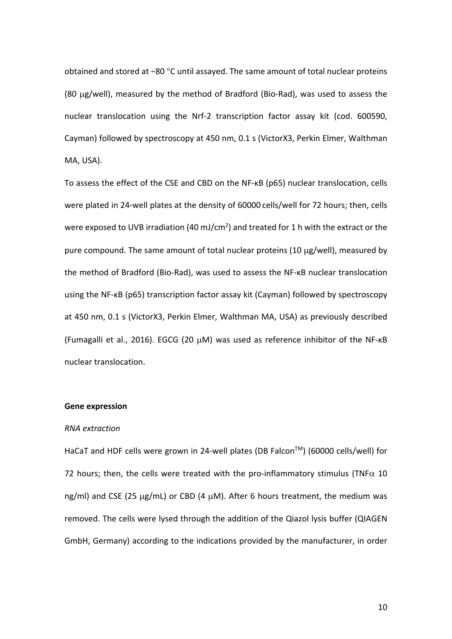obtained and stored at −80 °C until assayed. The same amount of total nuclear proteins (80 µg/well), measured by the method of Bradford (Bio-Rad), was used to assess the nuclear translocation using the Nrf-2 transcription factor assay kit (cod. 600590, Cayman) followed by spectroscopy at 450 nm, 0.1 s (VictorX3, Perkin Elmer, Walthman MA, USA).

To assess the effect of the CSE and CBD on the NF-κB (p65) nuclear translocation, cells were plated in 24-well plates at the density of 60000 cells/well for 72 hours; then, cells were exposed to UVB irradiation (40 mJ/cm<sup>2</sup>) and treated for 1 h with the extract or the pure compound. The same amount of total nuclear proteins (10 µg/well), measured by the method of Bradford (Bio-Rad), was used to assess the NF-κB nuclear translocation using the NF-κB (p65) transcription factor assay kit (Cayman) followed by spectroscopy at 450 nm, 0.1 s (VictorX3, Perkin Elmer, Walthman MA, USA) as previously described (Fumagalli et al., 2016). EGCG (20 µM) was used as reference inhibitor of the NF-κB nuclear translocation.

#### **Gene expression**

#### *RNA extraction*

HaCaT and HDF cells were grown in 24-well plates (DB Falcon™) (60000 cells/well) for 72 hours; then, the cells were treated with the pro-inflammatory stimulus (TNF $\alpha$  10 ng/ml) and CSE (25 µg/mL) or CBD (4 µM). After 6 hours treatment, the medium was removed. The cells were lysed through the addition of the Qiazol lysis buffer (QIAGEN GmbH, Germany) according to the indications provided by the manufacturer, in order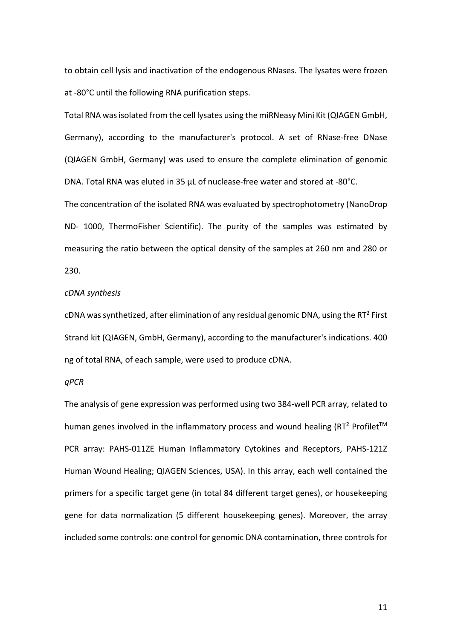to obtain cell lysis and inactivation of the endogenous RNases. The lysates were frozen at -80°C until the following RNA purification steps.

Total RNA was isolated from the cell lysates using the miRNeasy Mini Kit (QIAGEN GmbH, Germany), according to the manufacturer's protocol. A set of RNase-free DNase (QIAGEN GmbH, Germany) was used to ensure the complete elimination of genomic DNA. Total RNA was eluted in 35 μL of nuclease-free water and stored at -80°C.

The concentration of the isolated RNA was evaluated by spectrophotometry (NanoDrop ND- 1000, ThermoFisher Scientific). The purity of the samples was estimated by measuring the ratio between the optical density of the samples at 260 nm and 280 or 230.

#### *cDNA synthesis*

cDNA was synthetized, after elimination of any residual genomic DNA, using the RT<sup>2</sup> First Strand kit (QIAGEN, GmbH, Germany), according to the manufacturer's indications. 400 ng of total RNA, of each sample, were used to produce cDNA.

#### *qPCR*

The analysis of gene expression was performed using two 384-well PCR array, related to human genes involved in the inflammatory process and wound healing (RT<sup>2</sup> Profilet<sup>TM</sup> PCR array: PAHS-011ZE Human Inflammatory Cytokines and Receptors, PAHS-121Z Human Wound Healing; QIAGEN Sciences, USA). In this array, each well contained the primers for a specific target gene (in total 84 different target genes), or housekeeping gene for data normalization (5 different housekeeping genes). Moreover, the array included some controls: one control for genomic DNA contamination, three controls for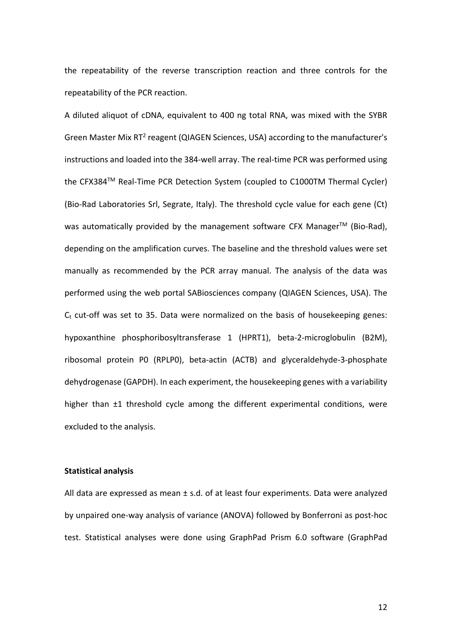the repeatability of the reverse transcription reaction and three controls for the repeatability of the PCR reaction.

A diluted aliquot of cDNA, equivalent to 400 ng total RNA, was mixed with the SYBR Green Master Mix RT<sup>2</sup> reagent (QIAGEN Sciences, USA) according to the manufacturer's instructions and loaded into the 384-well array. The real-time PCR was performed using the CFX384™ Real-Time PCR Detection System (coupled to C1000TM Thermal Cycler) (Bio-Rad Laboratories Srl, Segrate, Italy). The threshold cycle value for each gene (Ct) was automatically provided by the management software CFX Manager<sup>™</sup> (Bio-Rad), depending on the amplification curves. The baseline and the threshold values were set manually as recommended by the PCR array manual. The analysis of the data was performed using the web portal SABiosciences company (QIAGEN Sciences, USA). The  $C_t$  cut-off was set to 35. Data were normalized on the basis of housekeeping genes: hypoxanthine phosphoribosyltransferase 1 (HPRT1), beta-2-microglobulin (B2M), ribosomal protein P0 (RPLP0), beta-actin (ACTB) and glyceraldehyde-3-phosphate dehydrogenase (GAPDH). In each experiment, the housekeeping genes with a variability higher than ±1 threshold cycle among the different experimental conditions, were excluded to the analysis.

#### **Statistical analysis**

All data are expressed as mean ± s.d. of at least four experiments. Data were analyzed by unpaired one-way analysis of variance (ANOVA) followed by Bonferroni as post-hoc test. Statistical analyses were done using GraphPad Prism 6.0 software (GraphPad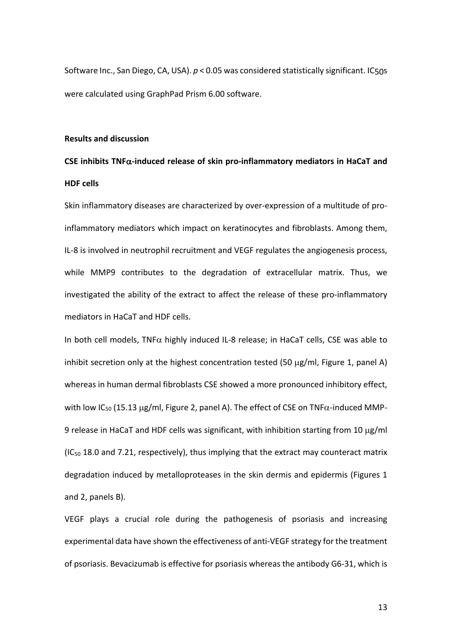Software Inc., San Diego, CA, USA). *p* < 0.05 was considered statistically significant. IC50s were calculated using GraphPad Prism 6.00 software.

#### **Results and discussion**

## **CSE inhibits TNF**a**-induced release of skin pro-inflammatory mediators in HaCaT and HDF cells**

Skin inflammatory diseases are characterized by over-expression of a multitude of proinflammatory mediators which impact on keratinocytes and fibroblasts. Among them, IL-8 is involved in neutrophil recruitment and VEGF regulates the angiogenesis process, while MMP9 contributes to the degradation of extracellular matrix. Thus, we investigated the ability of the extract to affect the release of these pro-inflammatory mediators in HaCaT and HDF cells.

In both cell models, TNF $\alpha$  highly induced IL-8 release; in HaCaT cells, CSE was able to inhibit secretion only at the highest concentration tested (50  $\mu$ g/ml, Figure 1, panel A) whereas in human dermal fibroblasts CSE showed a more pronounced inhibitory effect, with low IC<sub>50</sub> (15.13  $\mu$ g/ml, Figure 2, panel A). The effect of CSE on TNF $\alpha$ -induced MMP-9 release in HaCaT and HDF cells was significant, with inhibition starting from 10  $\mu$ g/ml  $(IC_{50}$  18.0 and 7.21, respectively), thus implying that the extract may counteract matrix degradation induced by metalloproteases in the skin dermis and epidermis (Figures 1 and 2, panels B).

VEGF plays a crucial role during the pathogenesis of psoriasis and increasing experimental data have shown the effectiveness of anti-VEGF strategy for the treatment of psoriasis. Bevacizumab is effective for psoriasis whereas the antibody G6-31, which is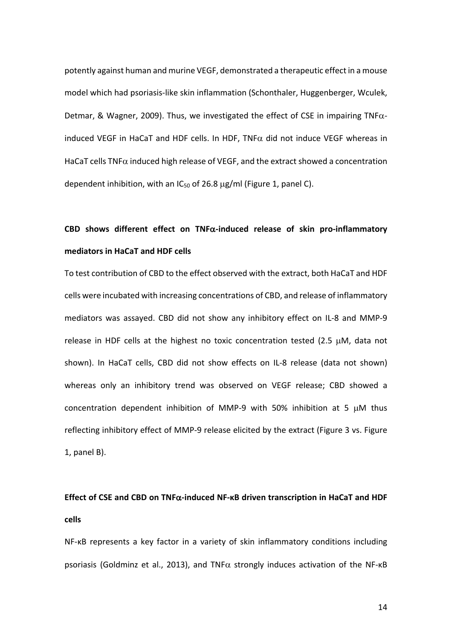potently against human and murine VEGF, demonstrated a therapeutic effect in a mouse model which had psoriasis-like skin inflammation (Schonthaler, Huggenberger, Wculek, Detmar, & Wagner, 2009). Thus, we investigated the effect of CSE in impairing TNF $\alpha$ induced VEGF in HaCaT and HDF cells. In HDF, TNF $\alpha$  did not induce VEGF whereas in HaCaT cells TNF $\alpha$  induced high release of VEGF, and the extract showed a concentration dependent inhibition, with an  $IC_{50}$  of 26.8  $\mu$ g/ml (Figure 1, panel C).

# **CBD shows different effect on TNF**a**-induced release of skin pro-inflammatory mediators in HaCaT and HDF cells**

To test contribution of CBD to the effect observed with the extract, both HaCaT and HDF cells were incubated with increasing concentrations of CBD, and release of inflammatory mediators was assayed. CBD did not show any inhibitory effect on IL-8 and MMP-9 release in HDF cells at the highest no toxic concentration tested (2.5 µM, data not shown). In HaCaT cells, CBD did not show effects on IL-8 release (data not shown) whereas only an inhibitory trend was observed on VEGF release; CBD showed a concentration dependent inhibition of MMP-9 with 50% inhibition at 5  $\mu$ M thus reflecting inhibitory effect of MMP-9 release elicited by the extract (Figure 3 vs. Figure 1, panel B).

### **Effect of CSE and CBD on TNF**a**-induced NF-κB driven transcription in HaCaT and HDF cells**

NF-κB represents a key factor in a variety of skin inflammatory conditions including psoriasis (Goldminz et al., 2013), and TNF $\alpha$  strongly induces activation of the NF- $\kappa$ B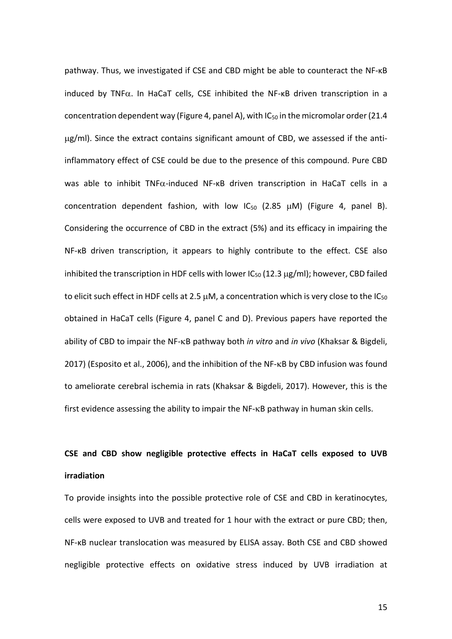pathway. Thus, we investigated if CSE and CBD might be able to counteract the NF-κB induced by TNF $\alpha$ . In HaCaT cells, CSE inhibited the NF- $\kappa$ B driven transcription in a concentration dependent way (Figure 4, panel A), with  $IC_{50}$  in the micromolar order (21.4 µg/ml). Since the extract contains significant amount of CBD, we assessed if the antiinflammatory effect of CSE could be due to the presence of this compound. Pure CBD was able to inhibit TNF $\alpha$ -induced NF- $\kappa$ B driven transcription in HaCaT cells in a concentration dependent fashion, with low  $IC_{50}$  (2.85  $\mu$ M) (Figure 4, panel B). Considering the occurrence of CBD in the extract (5%) and its efficacy in impairing the NF-κB driven transcription, it appears to highly contribute to the effect. CSE also inhibited the transcription in HDF cells with lower  $IC_{50}$  (12.3  $\mu$ g/ml); however, CBD failed to elicit such effect in HDF cells at 2.5  $\mu$ M, a concentration which is very close to the IC<sub>50</sub> obtained in HaCaT cells (Figure 4, panel C and D). Previous papers have reported the ability of CBD to impair the NF-kB pathway both *in vitro* and *in vivo* (Khaksar & Bigdeli, 2017) (Esposito et al., 2006), and the inhibition of the NF-kB by CBD infusion was found to ameliorate cerebral ischemia in rats (Khaksar & Bigdeli, 2017). However, this is the first evidence assessing the ability to impair the NF-kB pathway in human skin cells.

## **CSE and CBD show negligible protective effects in HaCaT cells exposed to UVB irradiation**

To provide insights into the possible protective role of CSE and CBD in keratinocytes, cells were exposed to UVB and treated for 1 hour with the extract or pure CBD; then, NF-κB nuclear translocation was measured by ELISA assay. Both CSE and CBD showed negligible protective effects on oxidative stress induced by UVB irradiation at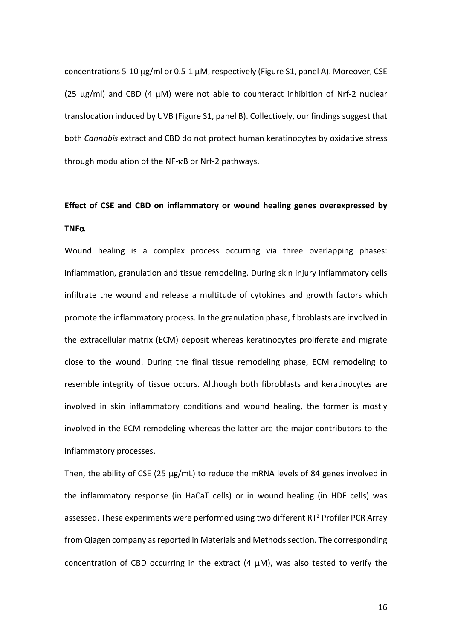concentrations 5-10 µg/ml or 0.5-1 µM, respectively (Figure S1, panel A). Moreover, CSE (25  $\mu$ g/ml) and CBD (4  $\mu$ M) were not able to counteract inhibition of Nrf-2 nuclear translocation induced by UVB (Figure S1, panel B). Collectively, our findings suggest that both *Cannabis* extract and CBD do not protect human keratinocytes by oxidative stress through modulation of the NF-kB or Nrf-2 pathways.

## **Effect of CSE and CBD on inflammatory or wound healing genes overexpressed by TNF** $\alpha$

Wound healing is a complex process occurring via three overlapping phases: inflammation, granulation and tissue remodeling. During skin injury inflammatory cells infiltrate the wound and release a multitude of cytokines and growth factors which promote the inflammatory process. In the granulation phase, fibroblasts are involved in the extracellular matrix (ECM) deposit whereas keratinocytes proliferate and migrate close to the wound. During the final tissue remodeling phase, ECM remodeling to resemble integrity of tissue occurs. Although both fibroblasts and keratinocytes are involved in skin inflammatory conditions and wound healing, the former is mostly involved in the ECM remodeling whereas the latter are the major contributors to the inflammatory processes.

Then, the ability of CSE (25 µg/mL) to reduce the mRNA levels of 84 genes involved in the inflammatory response (in HaCaT cells) or in wound healing (in HDF cells) was assessed. These experiments were performed using two different  $RT<sup>2</sup>$  Profiler PCR Array from Qiagen company as reported in Materials and Methods section. The corresponding concentration of CBD occurring in the extract (4  $\mu$ M), was also tested to verify the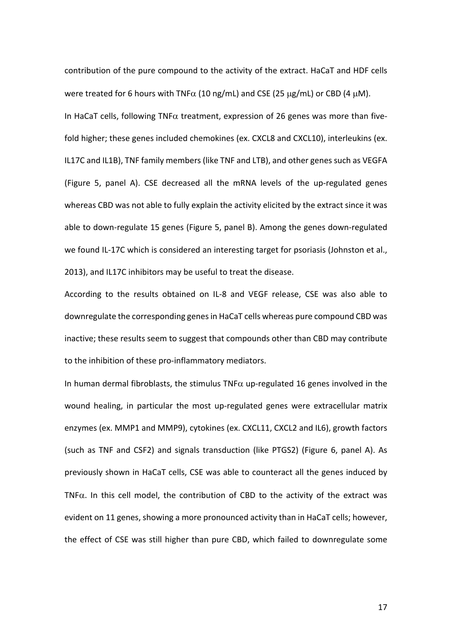contribution of the pure compound to the activity of the extract. HaCaT and HDF cells were treated for 6 hours with TNF $\alpha$  (10 ng/mL) and CSE (25  $\mu$ g/mL) or CBD (4  $\mu$ M). In HaCaT cells, following TNF $\alpha$  treatment, expression of 26 genes was more than fivefold higher; these genes included chemokines (ex. CXCL8 and CXCL10), interleukins (ex. IL17C and IL1B), TNF family members (like TNF and LTB), and other genes such as VEGFA (Figure 5, panel A). CSE decreased all the mRNA levels of the up-regulated genes whereas CBD was not able to fully explain the activity elicited by the extract since it was able to down-regulate 15 genes (Figure 5, panel B). Among the genes down-regulated we found IL-17C which is considered an interesting target for psoriasis (Johnston et al., 2013), and IL17C inhibitors may be useful to treat the disease.

According to the results obtained on IL-8 and VEGF release, CSE was also able to downregulate the corresponding genesin HaCaT cells whereas pure compound CBD was inactive; these results seem to suggest that compounds other than CBD may contribute to the inhibition of these pro-inflammatory mediators.

In human dermal fibroblasts, the stimulus TNF $\alpha$  up-regulated 16 genes involved in the wound healing, in particular the most up-regulated genes were extracellular matrix enzymes (ex. MMP1 and MMP9), cytokines (ex. CXCL11, CXCL2 and IL6), growth factors (such as TNF and CSF2) and signals transduction (like PTGS2) (Figure 6, panel A). As previously shown in HaCaT cells, CSE was able to counteract all the genes induced by TNF $\alpha$ . In this cell model, the contribution of CBD to the activity of the extract was evident on 11 genes, showing a more pronounced activity than in HaCaT cells; however, the effect of CSE was still higher than pure CBD, which failed to downregulate some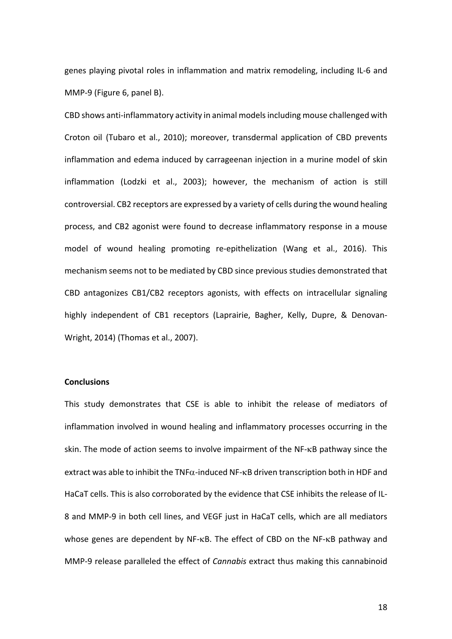genes playing pivotal roles in inflammation and matrix remodeling, including IL-6 and MMP-9 (Figure 6, panel B).

CBD shows anti-inflammatory activity in animal models including mouse challenged with Croton oil (Tubaro et al., 2010); moreover, transdermal application of CBD prevents inflammation and edema induced by carrageenan injection in a murine model of skin inflammation (Lodzki et al., 2003); however, the mechanism of action is still controversial. CB2 receptors are expressed by a variety of cells during the wound healing process, and CB2 agonist were found to decrease inflammatory response in a mouse model of wound healing promoting re-epithelization (Wang et al., 2016). This mechanism seems not to be mediated by CBD since previous studies demonstrated that CBD antagonizes CB1/CB2 receptors agonists, with effects on intracellular signaling highly independent of CB1 receptors (Laprairie, Bagher, Kelly, Dupre, & Denovan-Wright, 2014) (Thomas et al., 2007).

### **Conclusions**

This study demonstrates that CSE is able to inhibit the release of mediators of inflammation involved in wound healing and inflammatory processes occurring in the skin. The mode of action seems to involve impairment of the NF-kB pathway since the extract was able to inhibit the TNF $\alpha$ -induced NF- $\kappa$ B driven transcription both in HDF and HaCaT cells. This is also corroborated by the evidence that CSE inhibits the release of IL-8 and MMP-9 in both cell lines, and VEGF just in HaCaT cells, which are all mediators whose genes are dependent by NF-kB. The effect of CBD on the NF-kB pathway and MMP-9 release paralleled the effect of *Cannabis* extract thus making this cannabinoid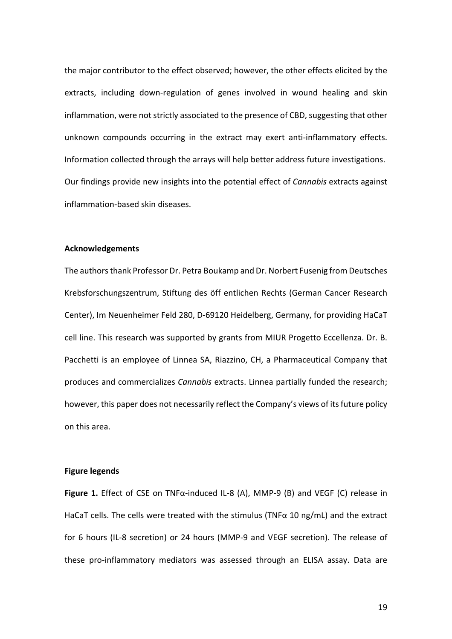the major contributor to the effect observed; however, the other effects elicited by the extracts, including down-regulation of genes involved in wound healing and skin inflammation, were not strictly associated to the presence of CBD, suggesting that other unknown compounds occurring in the extract may exert anti-inflammatory effects. Information collected through the arrays will help better address future investigations. Our findings provide new insights into the potential effect of *Cannabis* extracts against inflammation-based skin diseases.

#### **Acknowledgements**

The authors thank Professor Dr. Petra Boukamp and Dr. Norbert Fusenig from Deutsches Krebsforschungszentrum, Stiftung des öff entlichen Rechts (German Cancer Research Center), Im Neuenheimer Feld 280, D-69120 Heidelberg, Germany, for providing HaCaT cell line. This research was supported by grants from MIUR Progetto Eccellenza. Dr. B. Pacchetti is an employee of Linnea SA, Riazzino, CH, a Pharmaceutical Company that produces and commercializes *Cannabis* extracts. Linnea partially funded the research; however, this paper does not necessarily reflect the Company's views of its future policy on this area.

#### **Figure legends**

**Figure 1.** Effect of CSE on TNFα-induced IL-8 (A), MMP-9 (B) and VEGF (C) release in HaCaT cells. The cells were treated with the stimulus (TNF $\alpha$  10 ng/mL) and the extract for 6 hours (IL-8 secretion) or 24 hours (MMP-9 and VEGF secretion). The release of these pro-inflammatory mediators was assessed through an ELISA assay. Data are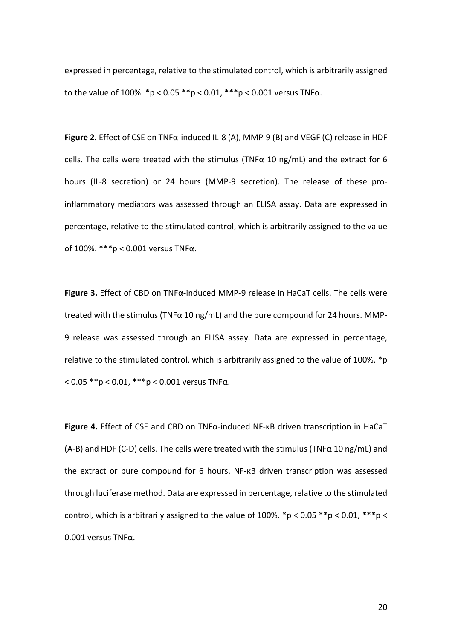expressed in percentage, relative to the stimulated control, which is arbitrarily assigned to the value of 100%.  $*p < 0.05$   $**p < 0.01$ ,  $***p < 0.001$  versus TNFα.

**Figure 2.** Effect of CSE on TNFα-induced IL-8 (A), MMP-9 (B) and VEGF (C) release in HDF cells. The cells were treated with the stimulus (TNF $\alpha$  10 ng/mL) and the extract for 6 hours (IL-8 secretion) or 24 hours (MMP-9 secretion). The release of these proinflammatory mediators was assessed through an ELISA assay. Data are expressed in percentage, relative to the stimulated control, which is arbitrarily assigned to the value of 100%. \*\*\*p < 0.001 versus TNFα.

**Figure 3.** Effect of CBD on TNFα-induced MMP-9 release in HaCaT cells. The cells were treated with the stimulus (TNF $\alpha$  10 ng/mL) and the pure compound for 24 hours. MMP-9 release was assessed through an ELISA assay. Data are expressed in percentage, relative to the stimulated control, which is arbitrarily assigned to the value of 100%. \*p  $< 0.05$  \*\*p  $< 0.01$ , \*\*\*p  $< 0.001$  versus TNFa.

**Figure 4.** Effect of CSE and CBD on TNFα-induced NF-κB driven transcription in HaCaT (A-B) and HDF (C-D) cells. The cells were treated with the stimulus (TNF $\alpha$  10 ng/mL) and the extract or pure compound for 6 hours. NF-κB driven transcription was assessed through luciferase method. Data are expressed in percentage, relative to the stimulated control, which is arbitrarily assigned to the value of 100%.  $np < 0.05$  \*\*p < 0.01, \*\*\*p < 0.001 versus TNFα.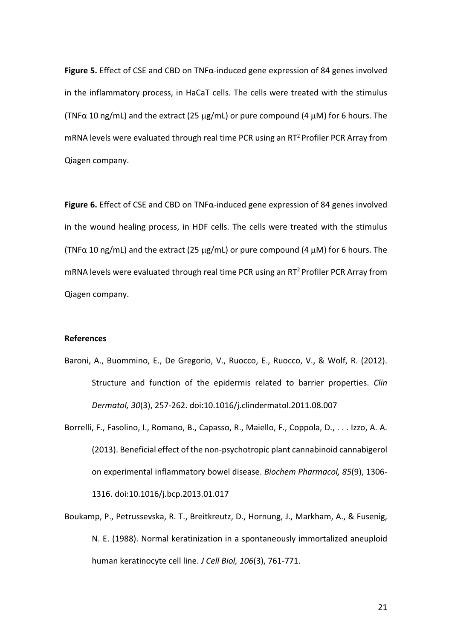**Figure 5.** Effect of CSE and CBD on TNFα-induced gene expression of 84 genes involved in the inflammatory process, in HaCaT cells. The cells were treated with the stimulus (TNF $\alpha$  10 ng/mL) and the extract (25 µg/mL) or pure compound (4 µM) for 6 hours. The mRNA levels were evaluated through real time PCR using an  $RT^2$  Profiler PCR Array from Qiagen company.

**Figure 6.** Effect of CSE and CBD on TNFα-induced gene expression of 84 genes involved in the wound healing process, in HDF cells. The cells were treated with the stimulus (TNF $\alpha$  10 ng/mL) and the extract (25 µg/mL) or pure compound (4 µM) for 6 hours. The mRNA levels were evaluated through real time PCR using an  $RT<sup>2</sup>$  Profiler PCR Array from Qiagen company.

#### **References**

- Baroni, A., Buommino, E., De Gregorio, V., Ruocco, E., Ruocco, V., & Wolf, R. (2012). Structure and function of the epidermis related to barrier properties. *Clin Dermatol, 30*(3), 257-262. doi:10.1016/j.clindermatol.2011.08.007
- Borrelli, F., Fasolino, I., Romano, B., Capasso, R., Maiello, F., Coppola, D., . . . Izzo, A. A. (2013). Beneficial effect of the non-psychotropic plant cannabinoid cannabigerol on experimental inflammatory bowel disease. *Biochem Pharmacol, 85*(9), 1306- 1316. doi:10.1016/j.bcp.2013.01.017
- Boukamp, P., Petrussevska, R. T., Breitkreutz, D., Hornung, J., Markham, A., & Fusenig, N. E. (1988). Normal keratinization in a spontaneously immortalized aneuploid human keratinocyte cell line. *J Cell Biol, 106*(3), 761-771.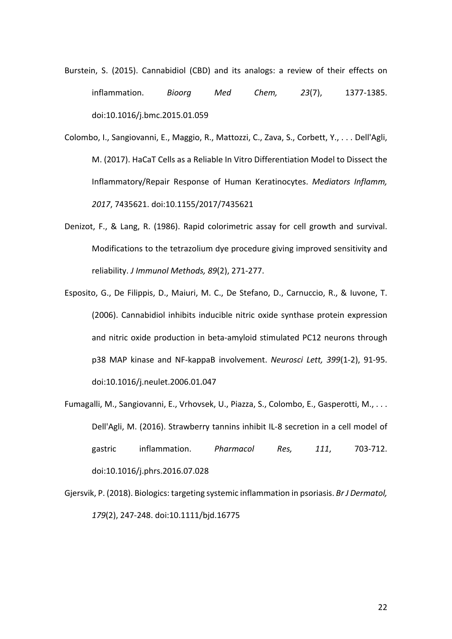Burstein, S. (2015). Cannabidiol (CBD) and its analogs: a review of their effects on inflammation. *Bioorg Med Chem, 23*(7), 1377-1385. doi:10.1016/j.bmc.2015.01.059

Colombo, I., Sangiovanni, E., Maggio, R., Mattozzi, C., Zava, S., Corbett, Y., . . . Dell'Agli, M. (2017). HaCaT Cells as a Reliable In Vitro Differentiation Model to Dissect the Inflammatory/Repair Response of Human Keratinocytes. *Mediators Inflamm, 2017*, 7435621. doi:10.1155/2017/7435621

- Denizot, F., & Lang, R. (1986). Rapid colorimetric assay for cell growth and survival. Modifications to the tetrazolium dye procedure giving improved sensitivity and reliability. *J Immunol Methods, 89*(2), 271-277.
- Esposito, G., De Filippis, D., Maiuri, M. C., De Stefano, D., Carnuccio, R., & Iuvone, T. (2006). Cannabidiol inhibits inducible nitric oxide synthase protein expression and nitric oxide production in beta-amyloid stimulated PC12 neurons through p38 MAP kinase and NF-kappaB involvement. *Neurosci Lett, 399*(1-2), 91-95. doi:10.1016/j.neulet.2006.01.047
- Fumagalli, M., Sangiovanni, E., Vrhovsek, U., Piazza, S., Colombo, E., Gasperotti, M., . . . Dell'Agli, M. (2016). Strawberry tannins inhibit IL-8 secretion in a cell model of gastric inflammation. *Pharmacol Res, 111*, 703-712. doi:10.1016/j.phrs.2016.07.028
- Gjersvik, P. (2018). Biologics: targeting systemic inflammation in psoriasis. *Br J Dermatol, 179*(2), 247-248. doi:10.1111/bjd.16775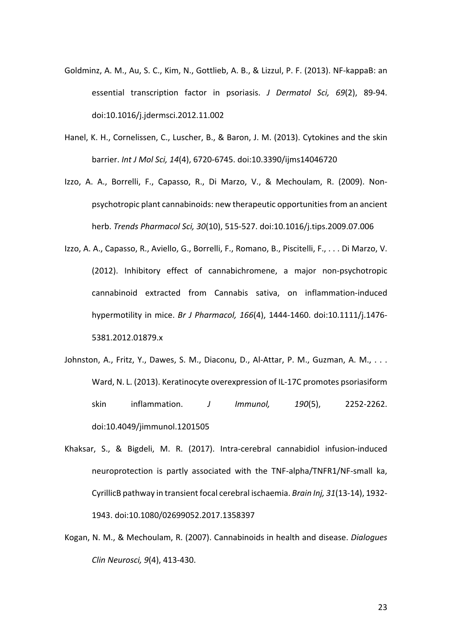- Goldminz, A. M., Au, S. C., Kim, N., Gottlieb, A. B., & Lizzul, P. F. (2013). NF-kappaB: an essential transcription factor in psoriasis. *J Dermatol Sci, 69*(2), 89-94. doi:10.1016/j.jdermsci.2012.11.002
- Hanel, K. H., Cornelissen, C., Luscher, B., & Baron, J. M. (2013). Cytokines and the skin barrier. *Int J Mol Sci, 14*(4), 6720-6745. doi:10.3390/ijms14046720
- Izzo, A. A., Borrelli, F., Capasso, R., Di Marzo, V., & Mechoulam, R. (2009). Nonpsychotropic plant cannabinoids: new therapeutic opportunities from an ancient herb. *Trends Pharmacol Sci, 30*(10), 515-527. doi:10.1016/j.tips.2009.07.006
- Izzo, A. A., Capasso, R., Aviello, G., Borrelli, F., Romano, B., Piscitelli, F., . . . Di Marzo, V. (2012). Inhibitory effect of cannabichromene, a major non-psychotropic cannabinoid extracted from Cannabis sativa, on inflammation-induced hypermotility in mice. *Br J Pharmacol, 166*(4), 1444-1460. doi:10.1111/j.1476- 5381.2012.01879.x
- Johnston, A., Fritz, Y., Dawes, S. M., Diaconu, D., Al-Attar, P. M., Guzman, A. M., ... Ward, N. L. (2013). Keratinocyte overexpression of IL-17C promotes psoriasiform skin inflammation. *J Immunol, 190*(5), 2252-2262. doi:10.4049/jimmunol.1201505
- Khaksar, S., & Bigdeli, M. R. (2017). Intra-cerebral cannabidiol infusion-induced neuroprotection is partly associated with the TNF-alpha/TNFR1/NF-small ka, CyrillicB pathway in transient focal cerebral ischaemia. *Brain Inj, 31*(13-14), 1932- 1943. doi:10.1080/02699052.2017.1358397
- Kogan, N. M., & Mechoulam, R. (2007). Cannabinoids in health and disease. *Dialogues Clin Neurosci, 9*(4), 413-430.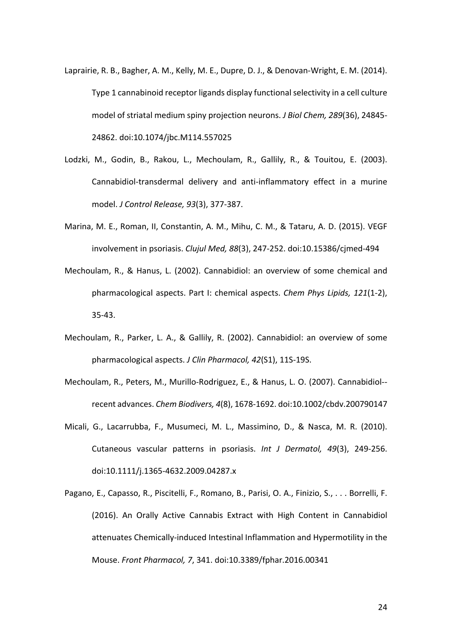- Laprairie, R. B., Bagher, A. M., Kelly, M. E., Dupre, D. J., & Denovan-Wright, E. M. (2014). Type 1 cannabinoid receptor ligands display functional selectivity in a cell culture model of striatal medium spiny projection neurons. *J Biol Chem, 289*(36), 24845- 24862. doi:10.1074/jbc.M114.557025
- Lodzki, M., Godin, B., Rakou, L., Mechoulam, R., Gallily, R., & Touitou, E. (2003). Cannabidiol-transdermal delivery and anti-inflammatory effect in a murine model. *J Control Release, 93*(3), 377-387.
- Marina, M. E., Roman, II, Constantin, A. M., Mihu, C. M., & Tataru, A. D. (2015). VEGF involvement in psoriasis. *Clujul Med, 88*(3), 247-252. doi:10.15386/cjmed-494
- Mechoulam, R., & Hanus, L. (2002). Cannabidiol: an overview of some chemical and pharmacological aspects. Part I: chemical aspects. *Chem Phys Lipids, 121*(1-2), 35-43.
- Mechoulam, R., Parker, L. A., & Gallily, R. (2002). Cannabidiol: an overview of some pharmacological aspects. *J Clin Pharmacol, 42*(S1), 11S-19S.
- Mechoulam, R., Peters, M., Murillo-Rodriguez, E., & Hanus, L. O. (2007). Cannabidiol- recent advances. *Chem Biodivers, 4*(8), 1678-1692. doi:10.1002/cbdv.200790147
- Micali, G., Lacarrubba, F., Musumeci, M. L., Massimino, D., & Nasca, M. R. (2010). Cutaneous vascular patterns in psoriasis. *Int J Dermatol, 49*(3), 249-256. doi:10.1111/j.1365-4632.2009.04287.x
- Pagano, E., Capasso, R., Piscitelli, F., Romano, B., Parisi, O. A., Finizio, S., . . . Borrelli, F. (2016). An Orally Active Cannabis Extract with High Content in Cannabidiol attenuates Chemically-induced Intestinal Inflammation and Hypermotility in the Mouse. *Front Pharmacol, 7*, 341. doi:10.3389/fphar.2016.00341